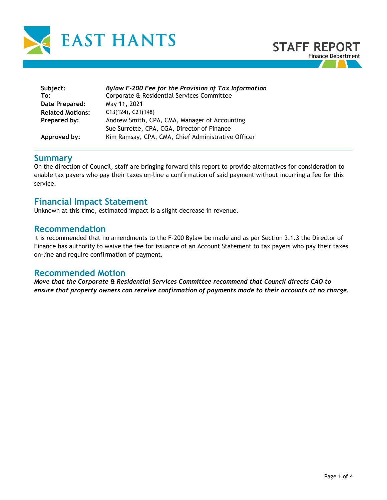

| Subject:                | Bylaw F-200 Fee for the Provision of Tax Information |  |  |  |  |  |  |
|-------------------------|------------------------------------------------------|--|--|--|--|--|--|
| To:                     | Corporate & Residential Services Committee           |  |  |  |  |  |  |
| Date Prepared:          | May 11, 2021                                         |  |  |  |  |  |  |
| <b>Related Motions:</b> | $C13(124)$ , $C21(148)$                              |  |  |  |  |  |  |
| Prepared by:            | Andrew Smith, CPA, CMA, Manager of Accounting        |  |  |  |  |  |  |
|                         | Sue Surrette, CPA, CGA, Director of Finance          |  |  |  |  |  |  |
| Approved by:            | Kim Ramsay, CPA, CMA, Chief Administrative Officer   |  |  |  |  |  |  |

### **Summary**

On the direction of Council, staff are bringing forward this report to provide alternatives for consideration to enable tax payers who pay their taxes on-line a confirmation of said payment without incurring a fee for this service.

# **Financial Impact Statement**

Unknown at this time, estimated impact is a slight decrease in revenue.

## **Recommendation**

It is recommended that no amendments to the F-200 Bylaw be made and as per Section 3.1.3 the Director of Finance has authority to waive the fee for issuance of an Account Statement to tax payers who pay their taxes on-line and require confirmation of payment.

## **Recommended Motion**

*Move that the Corporate & Residential Services Committee recommend that Council directs CAO to ensure that property owners can receive confirmation of payments made to their accounts at no charge.*

**STAFF REPORT**

Finance Department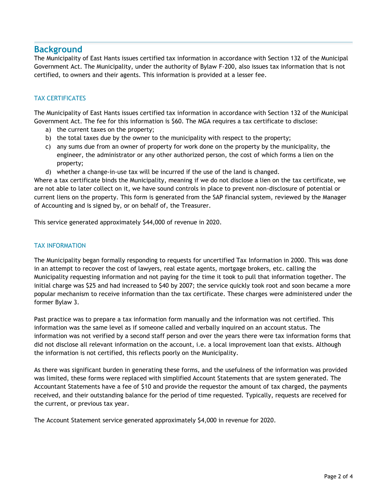# **Background**

The Municipality of East Hants issues certified tax information in accordance with Section 132 of the Municipal Government Act. The Municipality, under the authority of Bylaw F-200, also issues tax information that is not certified, to owners and their agents. This information is provided at a lesser fee.

### TAX CERTIFICATES

The Municipality of East Hants issues certified tax information in accordance with Section 132 of the Municipal Government Act. The fee for this information is \$60. The MGA requires a tax certificate to disclose:

- a) the current taxes on the property;
- b) the total taxes due by the owner to the municipality with respect to the property;
- c) any sums due from an owner of property for work done on the property by the municipality, the engineer, the administrator or any other authorized person, the cost of which forms a lien on the property;
- d) whether a change-in-use tax will be incurred if the use of the land is changed.

Where a tax certificate binds the Municipality, meaning if we do not disclose a lien on the tax certificate, we are not able to later collect on it, we have sound controls in place to prevent non-disclosure of potential or current liens on the property. This form is generated from the SAP financial system, reviewed by the Manager of Accounting and is signed by, or on behalf of, the Treasurer.

This service generated approximately \$44,000 of revenue in 2020.

### TAX INFORMATION

The Municipality began formally responding to requests for uncertified Tax Information in 2000. This was done in an attempt to recover the cost of lawyers, real estate agents, mortgage brokers, etc. calling the Municipality requesting information and not paying for the time it took to pull that information together. The initial charge was \$25 and had increased to \$40 by 2007; the service quickly took root and soon became a more popular mechanism to receive information than the tax certificate. These charges were administered under the former Bylaw 3.

Past practice was to prepare a tax information form manually and the information was not certified. This information was the same level as if someone called and verbally inquired on an account status. The information was not verified by a second staff person and over the years there were tax information forms that did not disclose all relevant information on the account, i.e. a local improvement loan that exists. Although the information is not certified, this reflects poorly on the Municipality.

As there was significant burden in generating these forms, and the usefulness of the information was provided was limited, these forms were replaced with simplified Account Statements that are system generated. The Accountant Statements have a fee of \$10 and provide the requestor the amount of tax charged, the payments received, and their outstanding balance for the period of time requested. Typically, requests are received for the current, or previous tax year.

The Account Statement service generated approximately \$4,000 in revenue for 2020.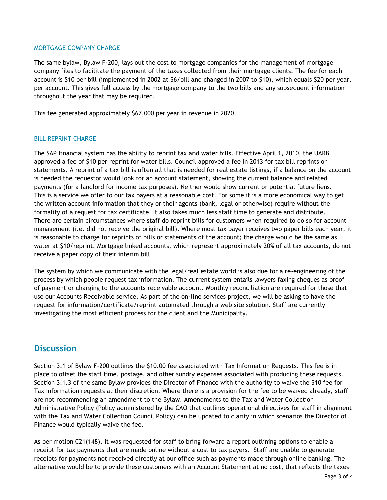#### MORTGAGE COMPANY CHARGE

The same bylaw, Bylaw F-200, lays out the cost to mortgage companies for the management of mortgage company files to facilitate the payment of the taxes collected from their mortgage clients. The fee for each account is \$10 per bill (implemented in 2002 at \$6/bill and changed in 2007 to \$10), which equals \$20 per year, per account. This gives full access by the mortgage company to the two bills and any subsequent information throughout the year that may be required.

This fee generated approximately \$67,000 per year in revenue in 2020.

### BILL REPRINT CHARGE

The SAP financial system has the ability to reprint tax and water bills. Effective April 1, 2010, the UARB approved a fee of \$10 per reprint for water bills. Council approved a fee in 2013 for tax bill reprints or statements. A reprint of a tax bill is often all that is needed for real estate listings, if a balance on the account is needed the requestor would look for an account statement, showing the current balance and related payments (for a landlord for income tax purposes). Neither would show current or potential future liens. This is a service we offer to our tax payers at a reasonable cost. For some it is a more economical way to get the written account information that they or their agents (bank, legal or otherwise) require without the formality of a request for tax certificate. It also takes much less staff time to generate and distribute. There are certain circumstances where staff do reprint bills for customers when required to do so for account management (i.e. did not receive the original bill). Where most tax payer receives two paper bills each year, it is reasonable to charge for reprints of bills or statements of the account; the charge would be the same as water at \$10/reprint. Mortgage linked accounts, which represent approximately 20% of all tax accounts, do not receive a paper copy of their interim bill.

The system by which we communicate with the legal/real estate world is also due for a re-engineering of the process by which people request tax information. The current system entails lawyers faxing cheques as proof of payment or charging to the accounts receivable account. Monthly reconciliation are required for those that use our Accounts Receivable service. As part of the on-line services project, we will be asking to have the request for information/certificate/reprint automated through a web site solution. Staff are currently investigating the most efficient process for the client and the Municipality.

# **Discussion**

Section 3.1 of Bylaw F-200 outlines the \$10.00 fee associated with Tax Information Requests. This fee is in place to offset the staff time, postage, and other sundry expenses associated with producing these requests. Section 3.1.3 of the same Bylaw provides the Director of Finance with the authority to waive the \$10 fee for Tax Information requests at their discretion. Where there is a provision for the fee to be waived already, staff are not recommending an amendment to the Bylaw. Amendments to the Tax and Water Collection Administrative Policy (Policy administered by the CAO that outlines operational directives for staff in alignment with the Tax and Water Collection Council Policy) can be updated to clarify in which scenarios the Director of Finance would typically waive the fee.

As per motion C21(148), it was requested for staff to bring forward a report outlining options to enable a receipt for tax payments that are made online without a cost to tax payers. Staff are unable to generate receipts for payments not received directly at our office such as payments made through online banking. The alternative would be to provide these customers with an Account Statement at no cost, that reflects the taxes